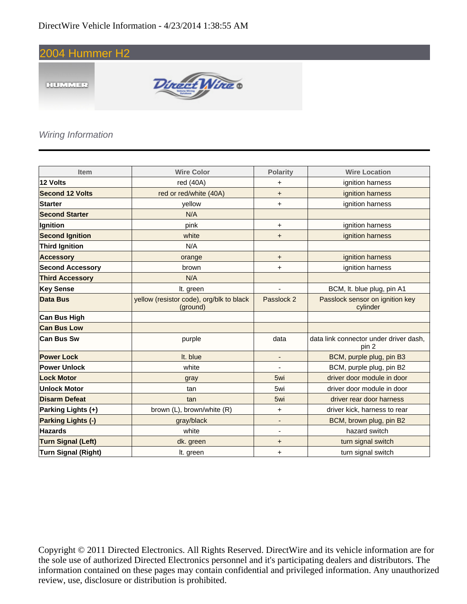



### Wiring Information

| <b>Item</b>                | <b>Wire Color</b>                                    | <b>Polarity</b>          | <b>Wire Location</b>                            |
|----------------------------|------------------------------------------------------|--------------------------|-------------------------------------------------|
| 12 Volts                   | red (40A)                                            | +                        | ignition harness                                |
| <b>Second 12 Volts</b>     | red or red/white (40A)                               | $\ddot{}$                | ignition harness                                |
| <b>Starter</b>             | yellow                                               | +                        | ignition harness                                |
| <b>Second Starter</b>      | N/A                                                  |                          |                                                 |
| Ignition                   | pink                                                 | +                        | ignition harness                                |
| <b>Second Ignition</b>     | white                                                | +                        | ignition harness                                |
| <b>Third Ignition</b>      | N/A                                                  |                          |                                                 |
| <b>Accessory</b>           | orange                                               | $\ddot{}$                | ignition harness                                |
| <b>Second Accessory</b>    | brown                                                | +                        | ignition harness                                |
| <b>Third Accessory</b>     | N/A                                                  |                          |                                                 |
| <b>Key Sense</b>           | It. green                                            |                          | BCM, It. blue plug, pin A1                      |
| <b>Data Bus</b>            | yellow (resistor code), org/blk to black<br>(ground) | Passlock 2               | Passlock sensor on ignition key<br>cylinder     |
| <b>Can Bus High</b>        |                                                      |                          |                                                 |
| <b>Can Bus Low</b>         |                                                      |                          |                                                 |
| <b>Can Bus Sw</b>          | purple                                               | data                     | data link connector under driver dash.<br>pin 2 |
| <b>Power Lock</b>          | It. blue                                             | $\overline{\phantom{a}}$ | BCM, purple plug, pin B3                        |
| <b>Power Unlock</b>        | white                                                |                          | BCM, purple plug, pin B2                        |
| <b>Lock Motor</b>          | gray                                                 | 5wi                      | driver door module in door                      |
| <b>Unlock Motor</b>        | tan                                                  | 5wi                      | driver door module in door                      |
| <b>Disarm Defeat</b>       | tan                                                  | 5wi                      | driver rear door harness                        |
| Parking Lights (+)         | brown (L), brown/white (R)                           | $\ddot{}$                | driver kick, harness to rear                    |
| Parking Lights (-)         | gray/black                                           | $\overline{\phantom{a}}$ | BCM, brown plug, pin B2                         |
| <b>Hazards</b>             | white                                                | ٠                        | hazard switch                                   |
| <b>Turn Signal (Left)</b>  | dk. green                                            | +                        | turn signal switch                              |
| <b>Turn Signal (Right)</b> | It. green                                            | +                        | turn signal switch                              |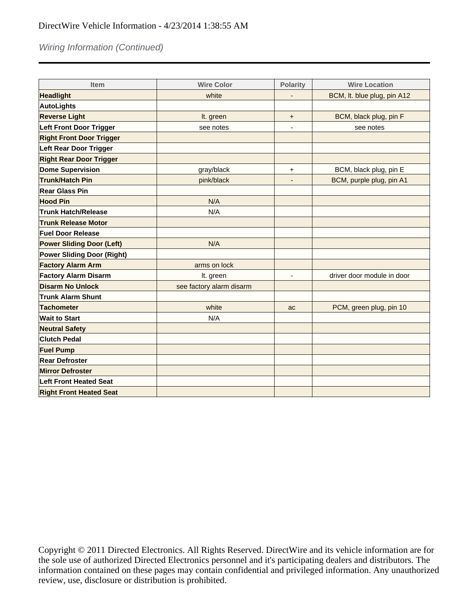# Wiring Information (Continued)

| Item                              | <b>Wire Color</b>        | <b>Polarity</b>          | <b>Wire Location</b>        |
|-----------------------------------|--------------------------|--------------------------|-----------------------------|
| <b>Headlight</b>                  | white                    |                          | BCM, It. blue plug, pin A12 |
| <b>AutoLights</b>                 |                          |                          |                             |
| <b>Reverse Light</b>              | It. green                | +                        | BCM, black plug, pin F      |
| <b>Left Front Door Trigger</b>    | see notes                |                          | see notes                   |
| <b>Right Front Door Trigger</b>   |                          |                          |                             |
| <b>Left Rear Door Trigger</b>     |                          |                          |                             |
| <b>Right Rear Door Trigger</b>    |                          |                          |                             |
| <b>Dome Supervision</b>           | gray/black               | $\ddot{}$                | BCM, black plug, pin E      |
| <b>Trunk/Hatch Pin</b>            | pink/black               |                          | BCM, purple plug, pin A1    |
| <b>Rear Glass Pin</b>             |                          |                          |                             |
| <b>Hood Pin</b>                   | N/A                      |                          |                             |
| <b>Trunk Hatch/Release</b>        | N/A                      |                          |                             |
| <b>Trunk Release Motor</b>        |                          |                          |                             |
| <b>Fuel Door Release</b>          |                          |                          |                             |
| <b>Power Sliding Door (Left)</b>  | N/A                      |                          |                             |
| <b>Power Sliding Door (Right)</b> |                          |                          |                             |
| <b>Factory Alarm Arm</b>          | arms on lock             |                          |                             |
| <b>Factory Alarm Disarm</b>       | It. green                | $\overline{\phantom{a}}$ | driver door module in door  |
| <b>Disarm No Unlock</b>           | see factory alarm disarm |                          |                             |
| <b>Trunk Alarm Shunt</b>          |                          |                          |                             |
| <b>Tachometer</b>                 | white                    | ac                       | PCM, green plug, pin 10     |
| <b>Wait to Start</b>              | N/A                      |                          |                             |
| <b>Neutral Safety</b>             |                          |                          |                             |
| <b>Clutch Pedal</b>               |                          |                          |                             |
| <b>Fuel Pump</b>                  |                          |                          |                             |
| <b>Rear Defroster</b>             |                          |                          |                             |
| <b>Mirror Defroster</b>           |                          |                          |                             |
| <b>Left Front Heated Seat</b>     |                          |                          |                             |
| <b>Right Front Heated Seat</b>    |                          |                          |                             |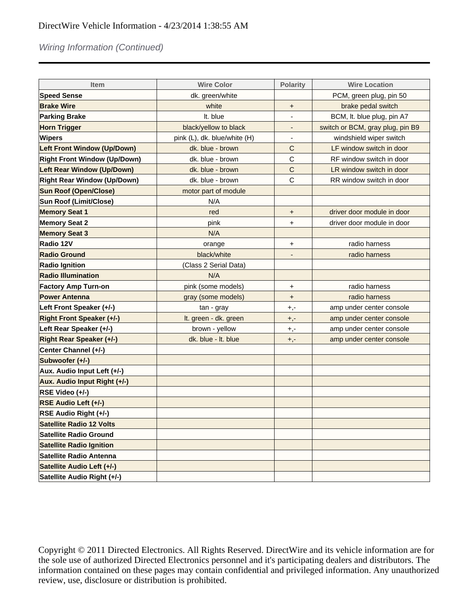# Wiring Information (Continued)

| <b>Item</b>                         | <b>Wire Color</b>            | <b>Polarity</b> | <b>Wire Location</b>             |
|-------------------------------------|------------------------------|-----------------|----------------------------------|
| <b>Speed Sense</b>                  | dk. green/white              |                 | PCM, green plug, pin 50          |
| <b>Brake Wire</b>                   | white                        | $\pmb{+}$       | brake pedal switch               |
| <b>Parking Brake</b>                | It. blue                     |                 | BCM, It. blue plug, pin A7       |
| <b>Horn Trigger</b>                 | black/yellow to black        | ٠               | switch or BCM, gray plug, pin B9 |
| <b>Wipers</b>                       | pink (L), dk. blue/white (H) |                 | windshield wiper switch          |
| <b>Left Front Window (Up/Down)</b>  | dk. blue - brown             | C               | LF window switch in door         |
| <b>Right Front Window (Up/Down)</b> | dk. blue - brown             | C               | RF window switch in door         |
| <b>Left Rear Window (Up/Down)</b>   | dk. blue - brown             | $\mathsf{C}$    | LR window switch in door         |
| <b>Right Rear Window (Up/Down)</b>  | dk. blue - brown             | C               | RR window switch in door         |
| <b>Sun Roof (Open/Close)</b>        | motor part of module         |                 |                                  |
| Sun Roof (Limit/Close)              | N/A                          |                 |                                  |
| <b>Memory Seat 1</b>                | red                          | $\ddot{}$       | driver door module in door       |
| <b>Memory Seat 2</b>                | pink                         | +               | driver door module in door       |
| <b>Memory Seat 3</b>                | N/A                          |                 |                                  |
| Radio 12V                           | orange                       | +               | radio harness                    |
| <b>Radio Ground</b>                 | black/white                  |                 | radio harness                    |
| <b>Radio Ignition</b>               | (Class 2 Serial Data)        |                 |                                  |
| <b>Radio Illumination</b>           | N/A                          |                 |                                  |
| <b>Factory Amp Turn-on</b>          | pink (some models)           | +               | radio harness                    |
| <b>Power Antenna</b>                | gray (some models)           | $\ddot{}$       | radio harness                    |
| Left Front Speaker (+/-)            | tan - gray                   | +,-             | amp under center console         |
| <b>Right Front Speaker (+/-)</b>    | It. green - dk. green        | $+,-$           | amp under center console         |
| Left Rear Speaker (+/-)             | brown - yellow               | $+,-$           | amp under center console         |
| <b>Right Rear Speaker (+/-)</b>     | dk. blue - It. blue          | +,-             | amp under center console         |
| Center Channel (+/-)                |                              |                 |                                  |
| Subwoofer (+/-)                     |                              |                 |                                  |
| Aux. Audio Input Left (+/-)         |                              |                 |                                  |
| Aux. Audio Input Right (+/-)        |                              |                 |                                  |
| RSE Video (+/-)                     |                              |                 |                                  |
| RSE Audio Left (+/-)                |                              |                 |                                  |
| RSE Audio Right (+/-)               |                              |                 |                                  |
| <b>Satellite Radio 12 Volts</b>     |                              |                 |                                  |
| <b>Satellite Radio Ground</b>       |                              |                 |                                  |
| <b>Satellite Radio Ignition</b>     |                              |                 |                                  |
| <b>Satellite Radio Antenna</b>      |                              |                 |                                  |
| Satellite Audio Left (+/-)          |                              |                 |                                  |
| Satellite Audio Right (+/-)         |                              |                 |                                  |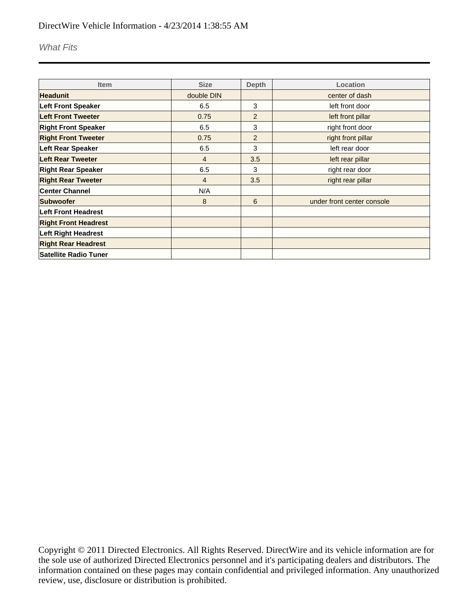#### What Fits

| <b>Item</b>                  | <b>Size</b>    | <b>Depth</b> | Location                   |
|------------------------------|----------------|--------------|----------------------------|
| <b>Headunit</b>              | double DIN     |              | center of dash             |
| <b>Left Front Speaker</b>    | 6.5            | 3            | left front door            |
| <b>Left Front Tweeter</b>    | 0.75           | 2            | left front pillar          |
| <b>Right Front Speaker</b>   | 6.5            | 3            | right front door           |
| <b>Right Front Tweeter</b>   | 0.75           | 2            | right front pillar         |
| <b>Left Rear Speaker</b>     | 6.5            | 3            | left rear door             |
| Left Rear Tweeter            | $\overline{4}$ | 3.5          | left rear pillar           |
| <b>Right Rear Speaker</b>    | 6.5            | 3            | right rear door            |
| <b>Right Rear Tweeter</b>    | 4              | 3.5          | right rear pillar          |
| <b>Center Channel</b>        | N/A            |              |                            |
| Subwoofer                    | 8              | 6            | under front center console |
| Left Front Headrest          |                |              |                            |
| <b>Right Front Headrest</b>  |                |              |                            |
| <b>Left Right Headrest</b>   |                |              |                            |
| <b>Right Rear Headrest</b>   |                |              |                            |
| <b>Satellite Radio Tuner</b> |                |              |                            |